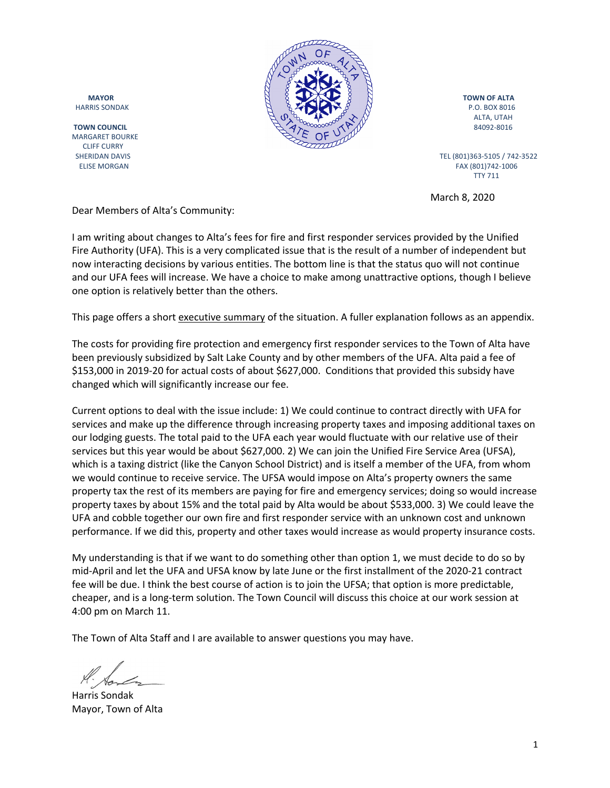

MARGARET BOURKE CLIFF CURRY



ALTA, UTAH

 ELISE MORGAN FAX (801)742-1006 TTY 711

March 8, 2020

Dear Members of Alta's Community:

I am writing about changes to Alta's fees for fire and first responder services provided by the Unified Fire Authority (UFA). This is a very complicated issue that is the result of a number of independent but now interacting decisions by various entities. The bottom line is that the status quo will not continue and our UFA fees will increase. We have a choice to make among unattractive options, though I believe one option is relatively better than the others.

This page offers a short executive summary of the situation. A fuller explanation follows as an appendix.

The costs for providing fire protection and emergency first responder services to the Town of Alta have been previously subsidized by Salt Lake County and by other members of the UFA. Alta paid a fee of \$153,000 in 2019-20 for actual costs of about \$627,000. Conditions that provided this subsidy have changed which will significantly increase our fee.

Current options to deal with the issue include: 1) We could continue to contract directly with UFA for services and make up the difference through increasing property taxes and imposing additional taxes on our lodging guests. The total paid to the UFA each year would fluctuate with our relative use of their services but this year would be about \$627,000. 2) We can join the Unified Fire Service Area (UFSA), which is a taxing district (like the Canyon School District) and is itself a member of the UFA, from whom we would continue to receive service. The UFSA would impose on Alta's property owners the same property tax the rest of its members are paying for fire and emergency services; doing so would increase property taxes by about 15% and the total paid by Alta would be about \$533,000. 3) We could leave the UFA and cobble together our own fire and first responder service with an unknown cost and unknown performance. If we did this, property and other taxes would increase as would property insurance costs.

My understanding is that if we want to do something other than option 1, we must decide to do so by mid-April and let the UFA and UFSA know by late June or the first installment of the 2020-21 contract fee will be due. I think the best course of action is to join the UFSA; that option is more predictable, cheaper, and is a long-term solution. The Town Council will discuss this choice at our work session at 4:00 pm on March 11.

The Town of Alta Staff and I are available to answer questions you may have.

Harris Sondak Mayor, Town of Alta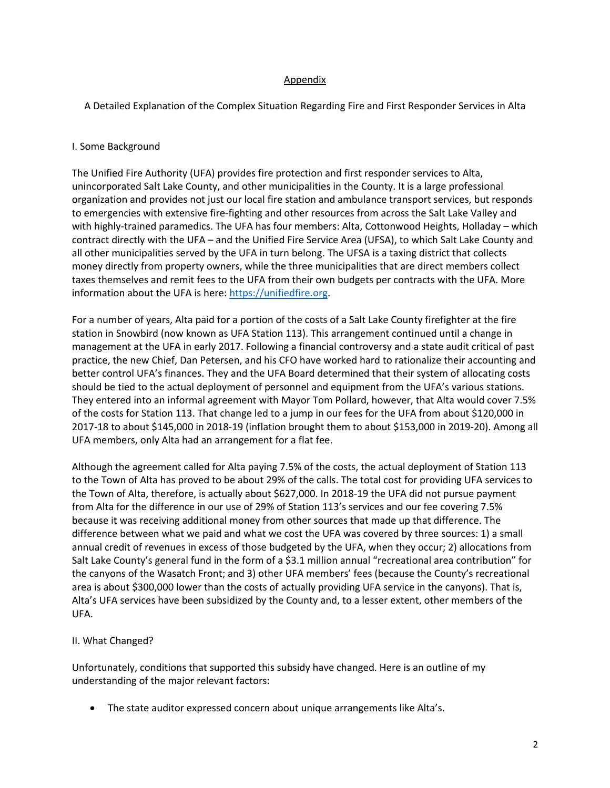## Appendix

A Detailed Explanation of the Complex Situation Regarding Fire and First Responder Services in Alta

## I. Some Background

The Unified Fire Authority (UFA) provides fire protection and first responder services to Alta, unincorporated Salt Lake County, and other municipalities in the County. It is a large professional organization and provides not just our local fire station and ambulance transport services, but responds to emergencies with extensive fire-fighting and other resources from across the Salt Lake Valley and with highly-trained paramedics. The UFA has four members: Alta, Cottonwood Heights, Holladay – which contract directly with the UFA – and the Unified Fire Service Area (UFSA), to which Salt Lake County and all other municipalities served by the UFA in turn belong. The UFSA is a taxing district that collects money directly from property owners, while the three municipalities that are direct members collect taxes themselves and remit fees to the UFA from their own budgets per contracts with the UFA. More information about the UFA is here: https://unifiedfire.org.

For a number of years, Alta paid for a portion of the costs of a Salt Lake County firefighter at the fire station in Snowbird (now known as UFA Station 113). This arrangement continued until a change in management at the UFA in early 2017. Following a financial controversy and a state audit critical of past practice, the new Chief, Dan Petersen, and his CFO have worked hard to rationalize their accounting and better control UFA's finances. They and the UFA Board determined that their system of allocating costs should be tied to the actual deployment of personnel and equipment from the UFA's various stations. They entered into an informal agreement with Mayor Tom Pollard, however, that Alta would cover 7.5% of the costs for Station 113. That change led to a jump in our fees for the UFA from about \$120,000 in 2017-18 to about \$145,000 in 2018-19 (inflation brought them to about \$153,000 in 2019-20). Among all UFA members, only Alta had an arrangement for a flat fee.

Although the agreement called for Alta paying 7.5% of the costs, the actual deployment of Station 113 to the Town of Alta has proved to be about 29% of the calls. The total cost for providing UFA services to the Town of Alta, therefore, is actually about \$627,000. In 2018-19 the UFA did not pursue payment from Alta for the difference in our use of 29% of Station 113's services and our fee covering 7.5% because it was receiving additional money from other sources that made up that difference. The difference between what we paid and what we cost the UFA was covered by three sources: 1) a small annual credit of revenues in excess of those budgeted by the UFA, when they occur; 2) allocations from Salt Lake County's general fund in the form of a \$3.1 million annual "recreational area contribution" for the canyons of the Wasatch Front; and 3) other UFA members' fees (because the County's recreational area is about \$300,000 lower than the costs of actually providing UFA service in the canyons). That is, Alta's UFA services have been subsidized by the County and, to a lesser extent, other members of the UFA.

#### II. What Changed?

Unfortunately, conditions that supported this subsidy have changed. Here is an outline of my understanding of the major relevant factors:

• The state auditor expressed concern about unique arrangements like Alta's.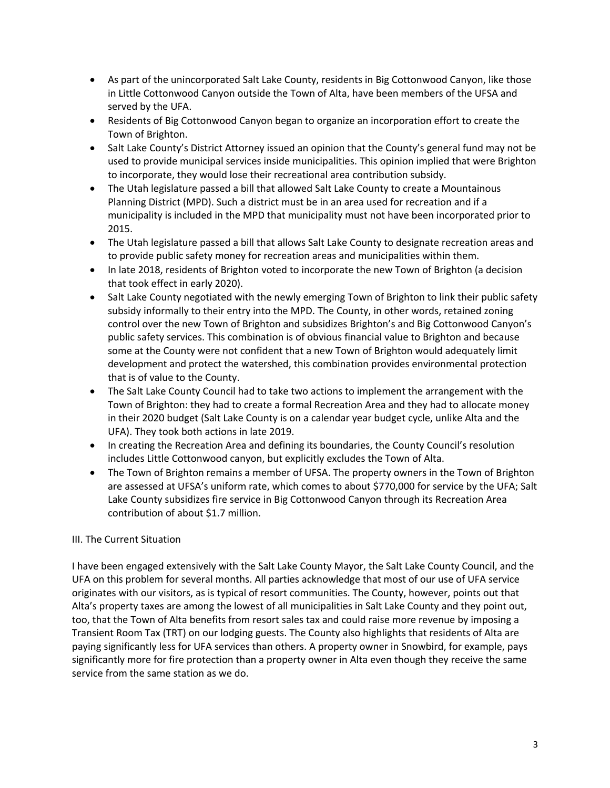- As part of the unincorporated Salt Lake County, residents in Big Cottonwood Canyon, like those in Little Cottonwood Canyon outside the Town of Alta, have been members of the UFSA and served by the UFA.
- Residents of Big Cottonwood Canyon began to organize an incorporation effort to create the Town of Brighton.
- Salt Lake County's District Attorney issued an opinion that the County's general fund may not be used to provide municipal services inside municipalities. This opinion implied that were Brighton to incorporate, they would lose their recreational area contribution subsidy.
- The Utah legislature passed a bill that allowed Salt Lake County to create a Mountainous Planning District (MPD). Such a district must be in an area used for recreation and if a municipality is included in the MPD that municipality must not have been incorporated prior to 2015.
- The Utah legislature passed a bill that allows Salt Lake County to designate recreation areas and to provide public safety money for recreation areas and municipalities within them.
- In late 2018, residents of Brighton voted to incorporate the new Town of Brighton (a decision that took effect in early 2020).
- Salt Lake County negotiated with the newly emerging Town of Brighton to link their public safety subsidy informally to their entry into the MPD. The County, in other words, retained zoning control over the new Town of Brighton and subsidizes Brighton's and Big Cottonwood Canyon's public safety services. This combination is of obvious financial value to Brighton and because some at the County were not confident that a new Town of Brighton would adequately limit development and protect the watershed, this combination provides environmental protection that is of value to the County.
- The Salt Lake County Council had to take two actions to implement the arrangement with the Town of Brighton: they had to create a formal Recreation Area and they had to allocate money in their 2020 budget (Salt Lake County is on a calendar year budget cycle, unlike Alta and the UFA). They took both actions in late 2019.
- In creating the Recreation Area and defining its boundaries, the County Council's resolution includes Little Cottonwood canyon, but explicitly excludes the Town of Alta.
- The Town of Brighton remains a member of UFSA. The property owners in the Town of Brighton are assessed at UFSA's uniform rate, which comes to about \$770,000 for service by the UFA; Salt Lake County subsidizes fire service in Big Cottonwood Canyon through its Recreation Area contribution of about \$1.7 million.

# III. The Current Situation

I have been engaged extensively with the Salt Lake County Mayor, the Salt Lake County Council, and the UFA on this problem for several months. All parties acknowledge that most of our use of UFA service originates with our visitors, as is typical of resort communities. The County, however, points out that Alta's property taxes are among the lowest of all municipalities in Salt Lake County and they point out, too, that the Town of Alta benefits from resort sales tax and could raise more revenue by imposing a Transient Room Tax (TRT) on our lodging guests. The County also highlights that residents of Alta are paying significantly less for UFA services than others. A property owner in Snowbird, for example, pays significantly more for fire protection than a property owner in Alta even though they receive the same service from the same station as we do.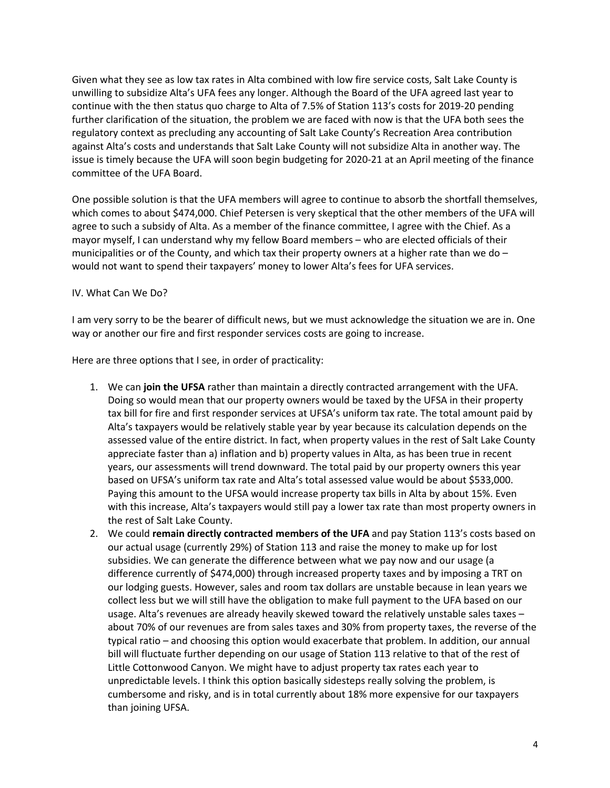Given what they see as low tax rates in Alta combined with low fire service costs, Salt Lake County is unwilling to subsidize Alta's UFA fees any longer. Although the Board of the UFA agreed last year to continue with the then status quo charge to Alta of 7.5% of Station 113's costs for 2019-20 pending further clarification of the situation, the problem we are faced with now is that the UFA both sees the regulatory context as precluding any accounting of Salt Lake County's Recreation Area contribution against Alta's costs and understands that Salt Lake County will not subsidize Alta in another way. The issue is timely because the UFA will soon begin budgeting for 2020-21 at an April meeting of the finance committee of the UFA Board.

One possible solution is that the UFA members will agree to continue to absorb the shortfall themselves, which comes to about \$474,000. Chief Petersen is very skeptical that the other members of the UFA will agree to such a subsidy of Alta. As a member of the finance committee, I agree with the Chief. As a mayor myself, I can understand why my fellow Board members – who are elected officials of their municipalities or of the County, and which tax their property owners at a higher rate than we do  $$ would not want to spend their taxpayers' money to lower Alta's fees for UFA services.

IV. What Can We Do?

I am very sorry to be the bearer of difficult news, but we must acknowledge the situation we are in. One way or another our fire and first responder services costs are going to increase.

Here are three options that I see, in order of practicality:

- 1. We can **join the UFSA** rather than maintain a directly contracted arrangement with the UFA. Doing so would mean that our property owners would be taxed by the UFSA in their property tax bill for fire and first responder services at UFSA's uniform tax rate. The total amount paid by Alta's taxpayers would be relatively stable year by year because its calculation depends on the assessed value of the entire district. In fact, when property values in the rest of Salt Lake County appreciate faster than a) inflation and b) property values in Alta, as has been true in recent years, our assessments will trend downward. The total paid by our property owners this year based on UFSA's uniform tax rate and Alta's total assessed value would be about \$533,000. Paying this amount to the UFSA would increase property tax bills in Alta by about 15%. Even with this increase, Alta's taxpayers would still pay a lower tax rate than most property owners in the rest of Salt Lake County.
- 2. We could **remain directly contracted members of the UFA** and pay Station 113's costs based on our actual usage (currently 29%) of Station 113 and raise the money to make up for lost subsidies. We can generate the difference between what we pay now and our usage (a difference currently of \$474,000) through increased property taxes and by imposing a TRT on our lodging guests. However, sales and room tax dollars are unstable because in lean years we collect less but we will still have the obligation to make full payment to the UFA based on our usage. Alta's revenues are already heavily skewed toward the relatively unstable sales taxes – about 70% of our revenues are from sales taxes and 30% from property taxes, the reverse of the typical ratio – and choosing this option would exacerbate that problem. In addition, our annual bill will fluctuate further depending on our usage of Station 113 relative to that of the rest of Little Cottonwood Canyon. We might have to adjust property tax rates each year to unpredictable levels. I think this option basically sidesteps really solving the problem, is cumbersome and risky, and is in total currently about 18% more expensive for our taxpayers than joining UFSA.